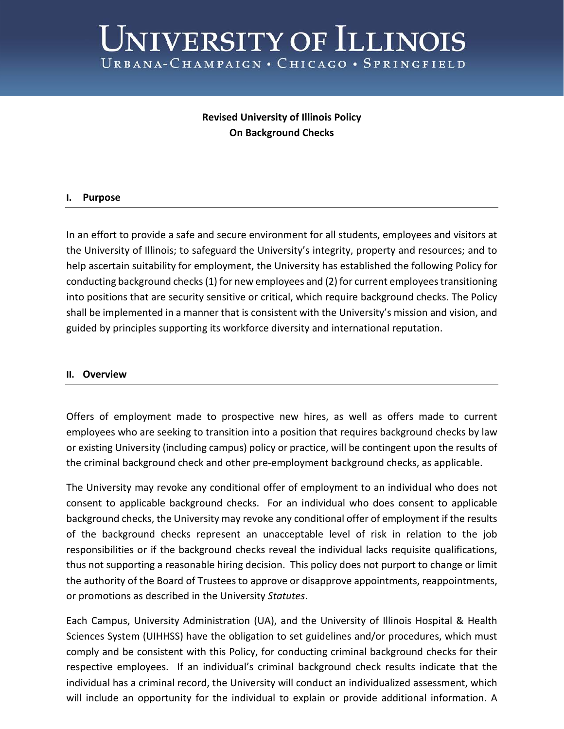# UNIVERSITY OF ILLINOIS URBANA-CHAMPAIGN . CHICAGO . SPRINGFIELD

## **Revised University of Illinois Policy On Background Checks**

### **I. Purpose**

In an effort to provide a safe and secure environment for all students, employees and visitors at the University of Illinois; to safeguard the University's integrity, property and resources; and to help ascertain suitability for employment, the University has established the following Policy for conducting background checks (1) for new employees and (2) for current employees transitioning into positions that are security sensitive or critical, which require background checks. The Policy shall be implemented in a manner that is consistent with the University's mission and vision, and guided by principles supporting its workforce diversity and international reputation.

#### **II. Overview**

Offers of employment made to prospective new hires, as well as offers made to current employees who are seeking to transition into a position that requires background checks by law or existing University (including campus) policy or practice, will be contingent upon the results of the criminal background check and other pre-employment background checks, as applicable.

The University may revoke any conditional offer of employment to an individual who does not consent to applicable background checks. For an individual who does consent to applicable background checks, the University may revoke any conditional offer of employment if the results of the background checks represent an unacceptable level of risk in relation to the job responsibilities or if the background checks reveal the individual lacks requisite qualifications, thus not supporting a reasonable hiring decision. This policy does not purport to change or limit the authority of the Board of Trustees to approve or disapprove appointments, reappointments, or promotions as described in the University *Statutes*.

Each Campus, University Administration (UA), and the University of Illinois Hospital & Health Sciences System (UIHHSS) have the obligation to set guidelines and/or procedures, which must comply and be consistent with this Policy, for conducting criminal background checks for their respective employees. If an individual's criminal background check results indicate that the individual has a criminal record, the University will conduct an individualized assessment, which will include an opportunity for the individual to explain or provide additional information. A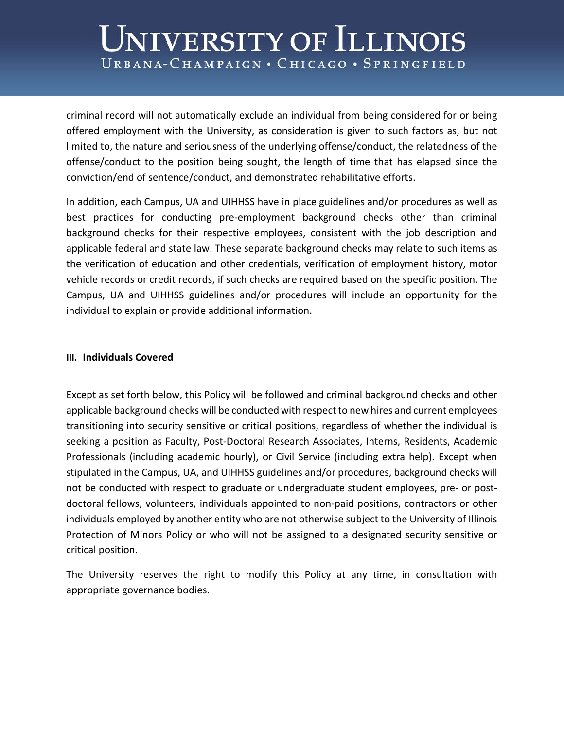## UNIVERSITY OF ILLINOIS URBANA-CHAMPAIGN . CHICAGO . SPRINGFIELD

criminal record will not automatically exclude an individual from being considered for or being offered employment with the University, as consideration is given to such factors as, but not limited to, the nature and seriousness of the underlying offense/conduct, the relatedness of the offense/conduct to the position being sought, the length of time that has elapsed since the conviction/end of sentence/conduct, and demonstrated rehabilitative efforts.

In addition, each Campus, UA and UIHHSS have in place guidelines and/or procedures as well as best practices for conducting pre-employment background checks other than criminal background checks for their respective employees, consistent with the job description and applicable federal and state law. These separate background checks may relate to such items as the verification of education and other credentials, verification of employment history, motor vehicle records or credit records, if such checks are required based on the specific position. The Campus, UA and UIHHSS guidelines and/or procedures will include an opportunity for the individual to explain or provide additional information.

#### **III. Individuals Covered**

Except as set forth below, this Policy will be followed and criminal background checks and other applicable background checks will be conducted with respect to new hires and current employees transitioning into security sensitive or critical positions, regardless of whether the individual is seeking a position as Faculty, Post-Doctoral Research Associates, Interns, Residents, Academic Professionals (including academic hourly), or Civil Service (including extra help). Except when stipulated in the Campus, UA, and UIHHSS guidelines and/or procedures, background checks will not be conducted with respect to graduate or undergraduate student employees, pre- or postdoctoral fellows, volunteers, individuals appointed to non-paid positions, contractors or other individuals employed by another entity who are not otherwise subject to the University of Illinois Protection of Minors Policy or who will not be assigned to a designated security sensitive or critical position.

The University reserves the right to modify this Policy at any time, in consultation with appropriate governance bodies.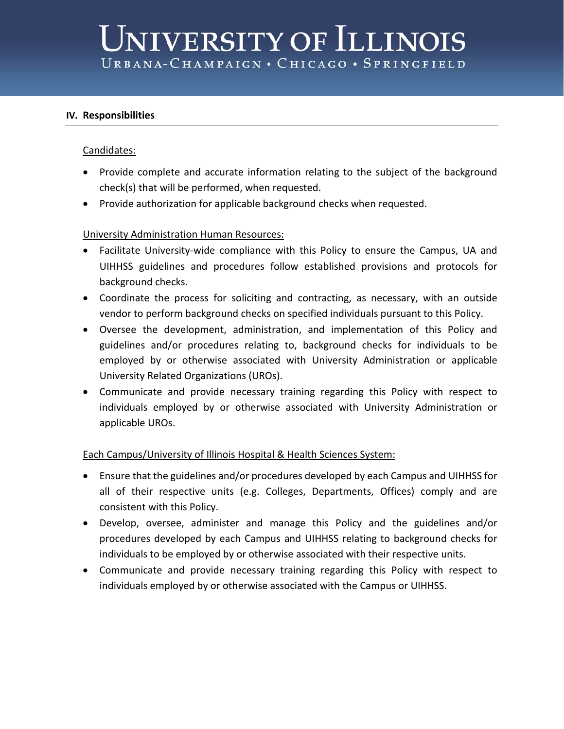### **IV. Responsibilities**

### Candidates:

- Provide complete and accurate information relating to the subject of the background check(s) that will be performed, when requested.
- Provide authorization for applicable background checks when requested.

## University Administration Human Resources:

- Facilitate University-wide compliance with this Policy to ensure the Campus, UA and UIHHSS guidelines and procedures follow established provisions and protocols for background checks.
- Coordinate the process for soliciting and contracting, as necessary, with an outside vendor to perform background checks on specified individuals pursuant to this Policy.
- Oversee the development, administration, and implementation of this Policy and guidelines and/or procedures relating to, background checks for individuals to be employed by or otherwise associated with University Administration or applicable University Related Organizations (UROs).
- Communicate and provide necessary training regarding this Policy with respect to individuals employed by or otherwise associated with University Administration or applicable UROs.

### Each Campus/University of Illinois Hospital & Health Sciences System:

- Ensure that the guidelines and/or procedures developed by each Campus and UIHHSS for all of their respective units (e.g. Colleges, Departments, Offices) comply and are consistent with this Policy.
- Develop, oversee, administer and manage this Policy and the guidelines and/or procedures developed by each Campus and UIHHSS relating to background checks for individuals to be employed by or otherwise associated with their respective units.
- Communicate and provide necessary training regarding this Policy with respect to individuals employed by or otherwise associated with the Campus or UIHHSS.